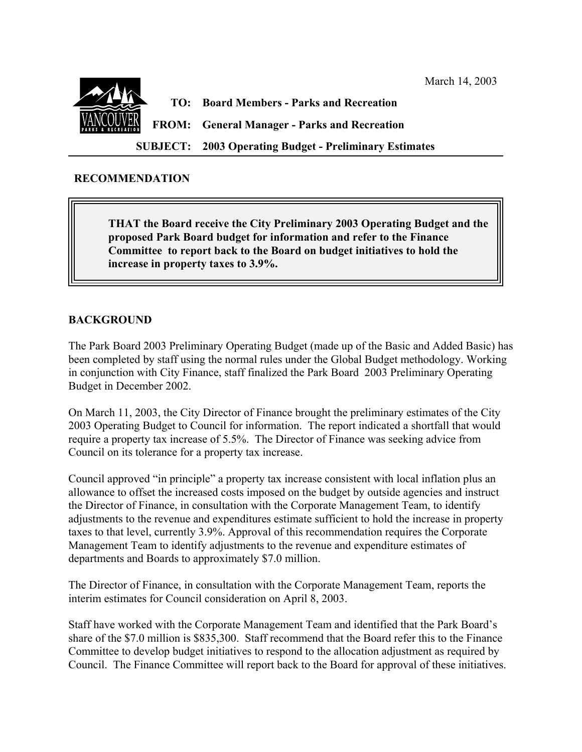

**SUBJECT: 2003 Operating Budget - Preliminary Estimates**

March 14, 2003

## **RECOMMENDATION**

**THAT the Board receive the City Preliminary 2003 Operating Budget and the proposed Park Board budget for information and refer to the Finance Committee to report back to the Board on budget initiatives to hold the increase in property taxes to 3.9%.**

# **BACKGROUND**

The Park Board 2003 Preliminary Operating Budget (made up of the Basic and Added Basic) has been completed by staff using the normal rules under the Global Budget methodology. Working in conjunction with City Finance, staff finalized the Park Board 2003 Preliminary Operating Budget in December 2002.

On March 11, 2003, the City Director of Finance brought the preliminary estimates of the City 2003 Operating Budget to Council for information. The report indicated a shortfall that would require a property tax increase of 5.5%. The Director of Finance was seeking advice from Council on its tolerance for a property tax increase.

Council approved "in principle" a property tax increase consistent with local inflation plus an allowance to offset the increased costs imposed on the budget by outside agencies and instruct the Director of Finance, in consultation with the Corporate Management Team, to identify adjustments to the revenue and expenditures estimate sufficient to hold the increase in property taxes to that level, currently 3.9%. Approval of this recommendation requires the Corporate Management Team to identify adjustments to the revenue and expenditure estimates of departments and Boards to approximately \$7.0 million.

The Director of Finance, in consultation with the Corporate Management Team, reports the interim estimates for Council consideration on April 8, 2003.

Staff have worked with the Corporate Management Team and identified that the Park Board's share of the \$7.0 million is \$835,300. Staff recommend that the Board refer this to the Finance Committee to develop budget initiatives to respond to the allocation adjustment as required by Council. The Finance Committee will report back to the Board for approval of these initiatives.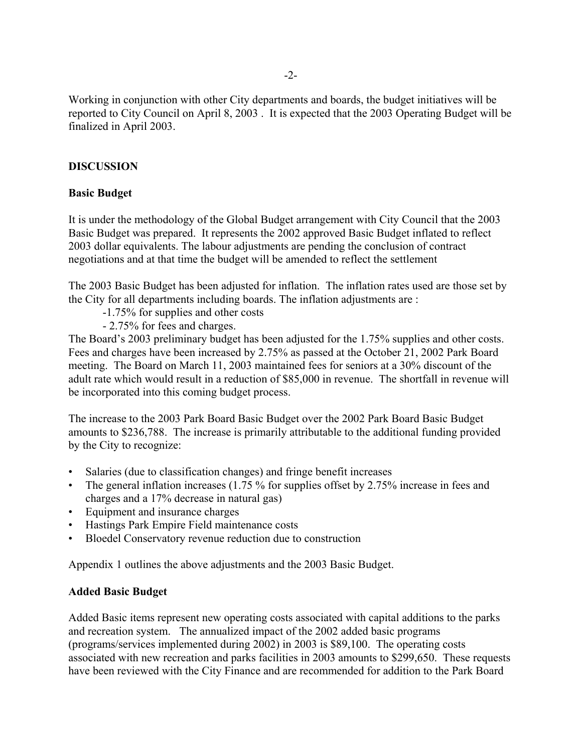Working in conjunction with other City departments and boards, the budget initiatives will be reported to City Council on April 8, 2003 . It is expected that the 2003 Operating Budget will be finalized in April 2003.

# **DISCUSSION**

## **Basic Budget**

It is under the methodology of the Global Budget arrangement with City Council that the 2003 Basic Budget was prepared. It represents the 2002 approved Basic Budget inflated to reflect 2003 dollar equivalents. The labour adjustments are pending the conclusion of contract negotiations and at that time the budget will be amended to reflect the settlement

The 2003 Basic Budget has been adjusted for inflation. The inflation rates used are those set by the City for all departments including boards. The inflation adjustments are :

- -1.75% for supplies and other costs
- 2.75% for fees and charges.

The Board's 2003 preliminary budget has been adjusted for the 1.75% supplies and other costs. Fees and charges have been increased by 2.75% as passed at the October 21, 2002 Park Board meeting. The Board on March 11, 2003 maintained fees for seniors at a 30% discount of the adult rate which would result in a reduction of \$85,000 in revenue. The shortfall in revenue will be incorporated into this coming budget process.

The increase to the 2003 Park Board Basic Budget over the 2002 Park Board Basic Budget amounts to \$236,788. The increase is primarily attributable to the additional funding provided by the City to recognize:

- Salaries (due to classification changes) and fringe benefit increases
- The general inflation increases (1.75 % for supplies offset by 2.75% increase in fees and charges and a 17% decrease in natural gas)
- Equipment and insurance charges
- Hastings Park Empire Field maintenance costs
- Bloedel Conservatory revenue reduction due to construction

Appendix 1 outlines the above adjustments and the 2003 Basic Budget.

### **Added Basic Budget**

Added Basic items represent new operating costs associated with capital additions to the parks and recreation system. The annualized impact of the 2002 added basic programs (programs/services implemented during 2002) in 2003 is \$89,100. The operating costs associated with new recreation and parks facilities in 2003 amounts to \$299,650. These requests have been reviewed with the City Finance and are recommended for addition to the Park Board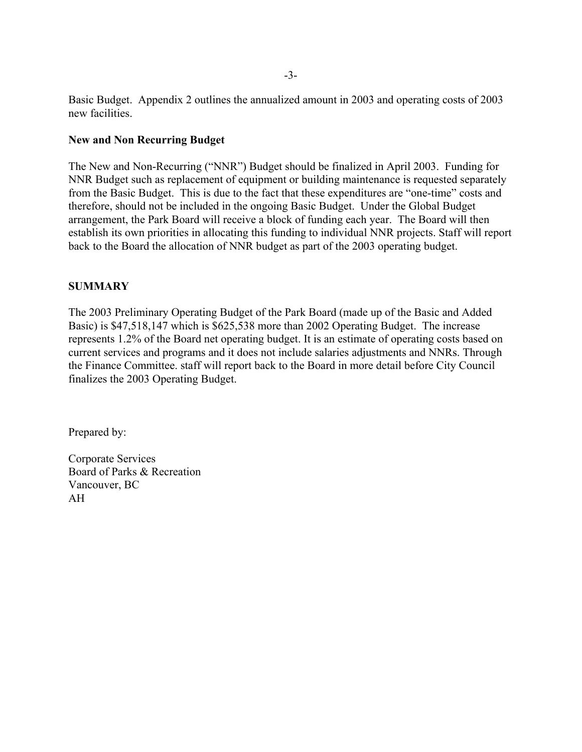Basic Budget. Appendix 2 outlines the annualized amount in 2003 and operating costs of 2003 new facilities.

### **New and Non Recurring Budget**

The New and Non-Recurring ("NNR") Budget should be finalized in April 2003. Funding for NNR Budget such as replacement of equipment or building maintenance is requested separately from the Basic Budget. This is due to the fact that these expenditures are "one-time" costs and therefore, should not be included in the ongoing Basic Budget. Under the Global Budget arrangement, the Park Board will receive a block of funding each year. The Board will then establish its own priorities in allocating this funding to individual NNR projects. Staff will report back to the Board the allocation of NNR budget as part of the 2003 operating budget.

# **SUMMARY**

The 2003 Preliminary Operating Budget of the Park Board (made up of the Basic and Added Basic) is \$47,518,147 which is \$625,538 more than 2002 Operating Budget. The increase represents 1.2% of the Board net operating budget. It is an estimate of operating costs based on current services and programs and it does not include salaries adjustments and NNRs. Through the Finance Committee. staff will report back to the Board in more detail before City Council finalizes the 2003 Operating Budget.

Prepared by:

Corporate Services Board of Parks & Recreation Vancouver, BC AH